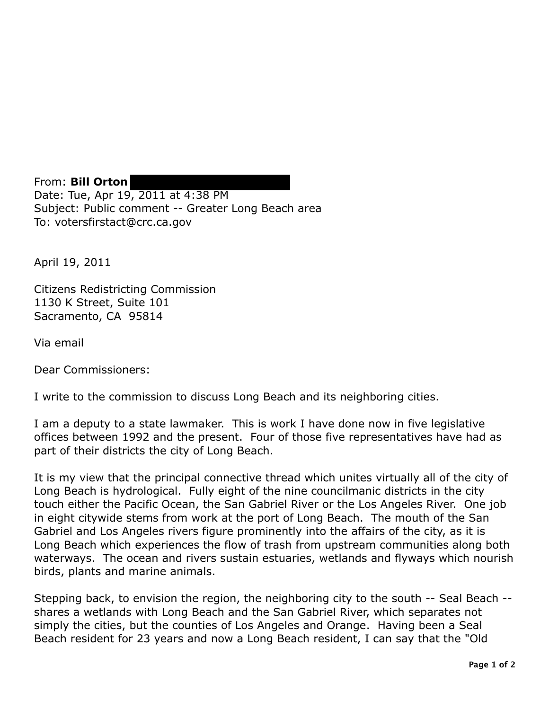From: **Bill Orton**  Date: Tue, Apr 19, 2011 at 4:38 PM Subject: Public comment -- Greater Long Beach area To: votersfirstact@crc.ca.gov

April 19, 2011

Citizens Redistricting Commission 1130 K Street, Suite 101 Sacramento, CA 95814

Via email

Dear Commissioners:

I write to the commission to discuss Long Beach and its neighboring cities.

I am a deputy to a state lawmaker. This is work I have done now in five legislative offices between 1992 and the present. Four of those five representatives have had as part of their districts the city of Long Beach.

It is my view that the principal connective thread which unites virtually all of the city of Long Beach is hydrological. Fully eight of the nine councilmanic districts in the city touch either the Pacific Ocean, the San Gabriel River or the Los Angeles River. One job in eight citywide stems from work at the port of Long Beach. The mouth of the San Gabriel and Los Angeles rivers figure prominently into the affairs of the city, as it is Long Beach which experiences the flow of trash from upstream communities along both waterways. The ocean and rivers sustain estuaries, wetlands and flyways which nourish birds, plants and marine animals.

Stepping back, to envision the region, the neighboring city to the south -- Seal Beach - shares a wetlands with Long Beach and the San Gabriel River, which separates not simply the cities, but the counties of Los Angeles and Orange. Having been a Seal Beach resident for 23 years and now a Long Beach resident, I can say that the "Old